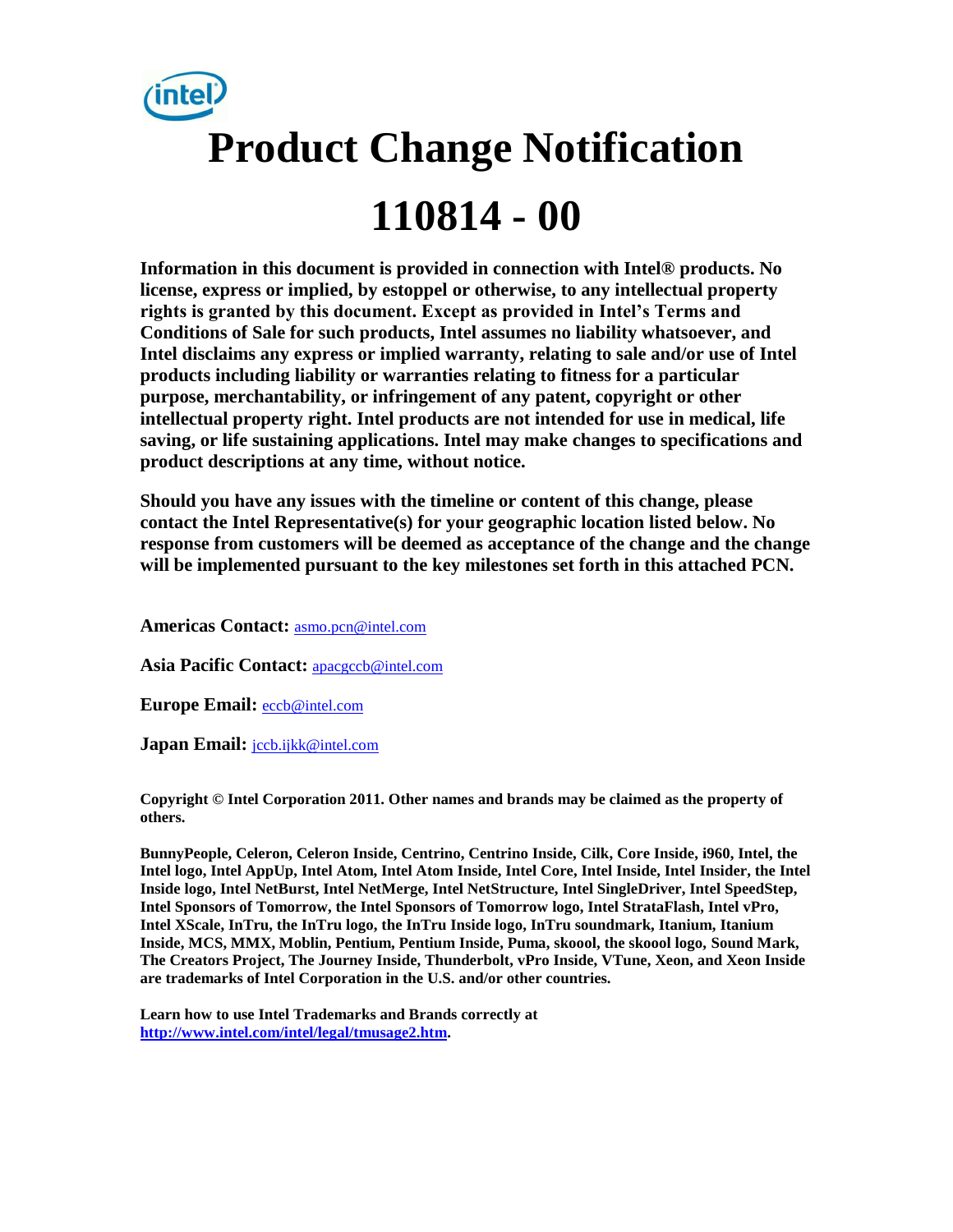

**Information in this document is provided in connection with Intel® products. No license, express or implied, by estoppel or otherwise, to any intellectual property rights is granted by this document. Except as provided in Intel's Terms and Conditions of Sale for such products, Intel assumes no liability whatsoever, and Intel disclaims any express or implied warranty, relating to sale and/or use of Intel products including liability or warranties relating to fitness for a particular purpose, merchantability, or infringement of any patent, copyright or other intellectual property right. Intel products are not intended for use in medical, life saving, or life sustaining applications. Intel may make changes to specifications and product descriptions at any time, without notice.** 

**Should you have any issues with the timeline or content of this change, please contact the Intel Representative(s) for your geographic location listed below. No response from customers will be deemed as acceptance of the change and the change will be implemented pursuant to the key milestones set forth in this attached PCN.** 

**Americas Contact:** [asmo.pcn@intel.com](mailto:asmo.pcn@intel.com) 

**Asia Pacific Contact:** [apacgccb@intel.com](mailto:apacgccb@intel.com) 

**Europe Email:** [eccb@intel.com](mailto:eccb@intel.com) 

Japan Email: **jccb.ijkk@intel.com** 

**Copyright © Intel Corporation 2011. Other names and brands may be claimed as the property of others.**

**BunnyPeople, Celeron, Celeron Inside, Centrino, Centrino Inside, Cilk, Core Inside, i960, Intel, the Intel logo, Intel AppUp, Intel Atom, Intel Atom Inside, Intel Core, Intel Inside, Intel Insider, the Intel Inside logo, Intel NetBurst, Intel NetMerge, Intel NetStructure, Intel SingleDriver, Intel SpeedStep, Intel Sponsors of Tomorrow, the Intel Sponsors of Tomorrow logo, Intel StrataFlash, Intel vPro, Intel XScale, InTru, the InTru logo, the InTru Inside logo, InTru soundmark, Itanium, Itanium Inside, MCS, MMX, Moblin, Pentium, Pentium Inside, Puma, skoool, the skoool logo, Sound Mark, The Creators Project, The Journey Inside, Thunderbolt, vPro Inside, VTune, Xeon, and Xeon Inside are trademarks of Intel Corporation in the U.S. and/or other countries.**

**Learn how to use Intel Trademarks and Brands correctly at [http://www.intel.com/intel/legal/tmusage2.htm.](http://www.intel.com/intel/legal/tmusage2.htm)**